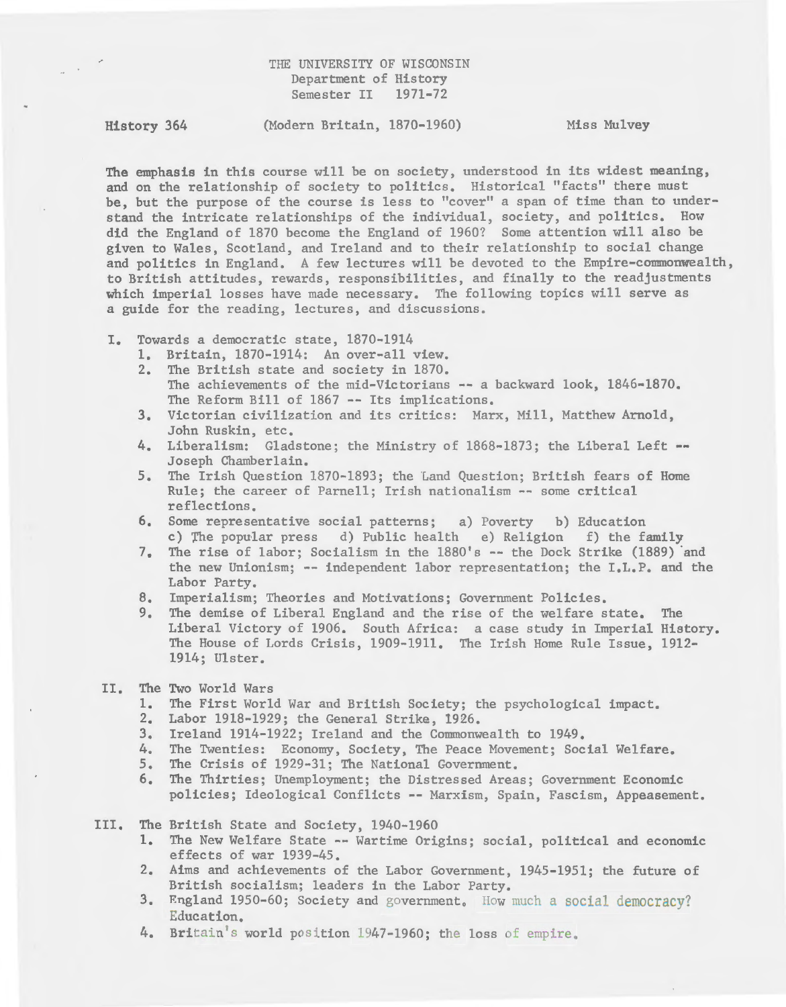# THE UNIVERSITY OF WISCONSIN Department of History Semester II 1971-72

History 364 (Modern Britain, 1870-1960) Miss Mulvey

The emphasis in this course will be on society, understood in its widest meaning, and on the relationship of society to politics. Historical "facts" there must be, but the purpose of the course is less to "cover" a span of time than to understand the intricate relationships of the individual, society, and politics. How did the England of 1870 become the England of 1960? Some attention will also be given to Wales, Scotland, and Ireland and to their relationship to social change and politics in England. A few lectures will be devoted to the Empire-commonwealth, to British attitudes, rewards, responsibilities, and finally to the readjustments which imperial losses have made necessary. The following topics will serve as a guide for the reading, lectures, and discussions.

- I. Towards a democratic state, 1870-1914
	- 1. Britain, 1870-1914: An over-all view.
	- 2. The British state and society in 1870. The achievements of the mid-Victorians -- a backward look, 1846-1870. The Reform Bill of 1867 -- Its implications.
	- 3. Victorian civilization and its critics: Marx, Mill, Matthew Arnold, John Ruskin, etc.
	- 4. Liberalism: Gladstone; the Ministry of 1868-1873; the Liberal Left --Joseph Chamberlain.
	- 5. The Irish Question 1870-1893; the Land Question; British fears of Home Rule; the career of Parnell; Irish nationalism -- some critical reflections.
	- 6. Some representative social patterns; a) Poverty b) Education c) rhe popular press d) Public health e) Religion f) the family
	- 7. The rise of labor; Socialism in the 1880's -- the Dock Strike (1889) and the new Unionism; -- independent labor representation; the I.L.P. and the Labor Party.
	- 8. Imperialism; Theories and Motivations; Government Policies.
	- 9. The demise of Liberal England and the rise of the welfare state. The Liberal Victory of 1906. South Africa: a case study in Imperial History. The House of Lords Crisis, 1909-1911. The Irish Home Rule Issue, 1912- 1914; Ulster.
- II. The Two World Wars
	- 1. The First World War and British Society; the psychological impact.
	- 2. Labor 1918-1929; the General Strike, 1926.
	- 3. Ireland 1914-1922; Ireland and the Commonwealth to 1949.
	- 4. The Twenties: Economy, Society, The Peace Movement; Social Welfare.
	- 5. The Crisis of 1929-31; The National Government.
	- 6. The Thirties; Unemployment; the Distressed Areas; Government Economic policies; Ideological Conflicts -- Marxism, Spain, Fascism, Appeasement.
- III. The British State and Society, 1940-1960
	- 1. The New Welfare State -- Wartime Origins; social, political and economic effects of war 1939-45.
	- 2. Aims and achievements of the Labor Government, 1945-1951; the future of British socialism; leaders in the Labor Party.
	- 3. England 1950-60; Society and government. How much a social democracy? Education.
	- 4. Britain's world position 1947-1960; the loss of empire.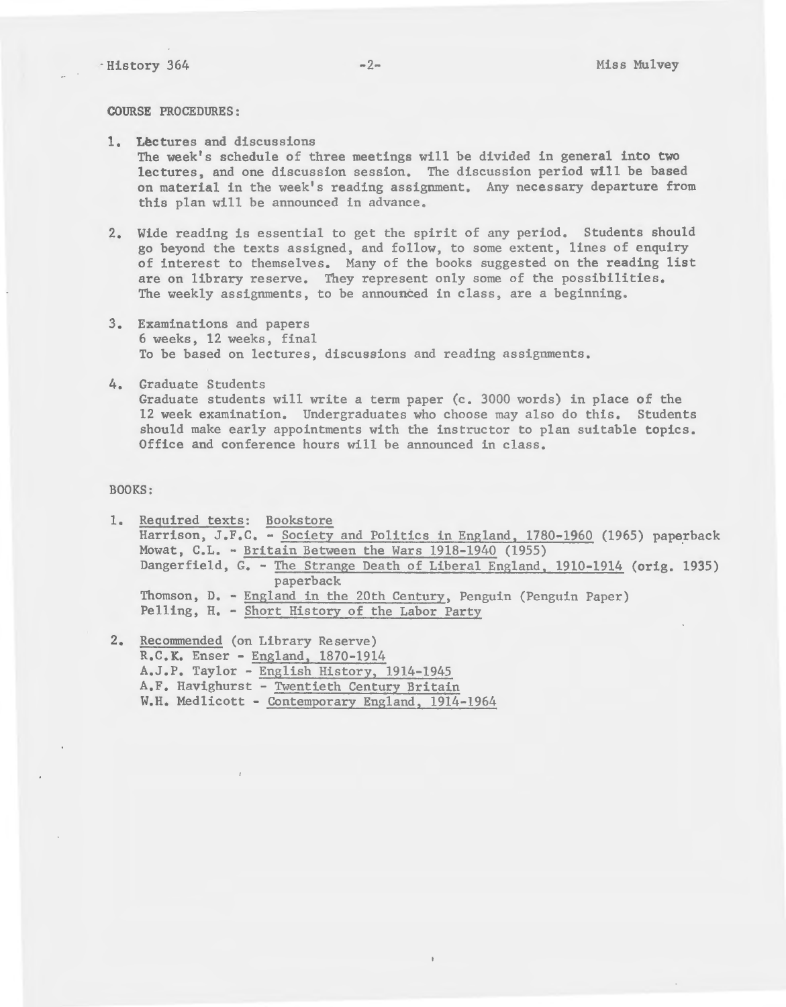COURSE PROCEDURES:

- 1. Lectures and discussions The week's schedule of three meetings will be divided in general into two lectures, and one discussion session. The discussion period will be based on material in the week's reading assignment. Any necessary departure from this plan will be announced in advance.
- 2. Wide reading is essential to get the spirit of any period. Students should go beyond the texts assigned, and follow, to some extent, lines of enquiry of interest to themselves. Many of the books suggested on the reading list are on library reserve. They represent only some of the possibilities. The weekly assignments, to be announced in class, are a beginning.
- 3. Examinations and papers 6 weeks, 12 weeks, final To be based on lectures, discussions and reading assignments.
- 4. Graduate Students Graduate students will write a term paper (c. 3000 words) in place of the 12 week examination. Undergraduates who choose may also do this. Students should make early appointments with the instructor to plan suitable topics. Office and conference hours will be announced in class.

## BOOKS:

1. Required texts: Bookstore Harrison, J.F.C. - Society and Politics in England, 1780-1960 (1965) paperback Mowat,  $C.L. - Britain Between the Wars 1918-1940 (1955)$ Dangerfield, G. - The Strange Death of Liberal England, 1910-1914 (orig. 1935) paperback Thomson, D. - England in the 20th Century, Penguin (Penguin Paper) Felling, H. - Short History of the Labor Party

2. Recommended (on Library Reserve) R.C.K. Enser - England, 1870-1914 A.J.P. Taylor -English History, 1914-1945 A.F. Havighurst - Twentieth Century Britain W.H. Med1icott - Contemporary England, 1914-1964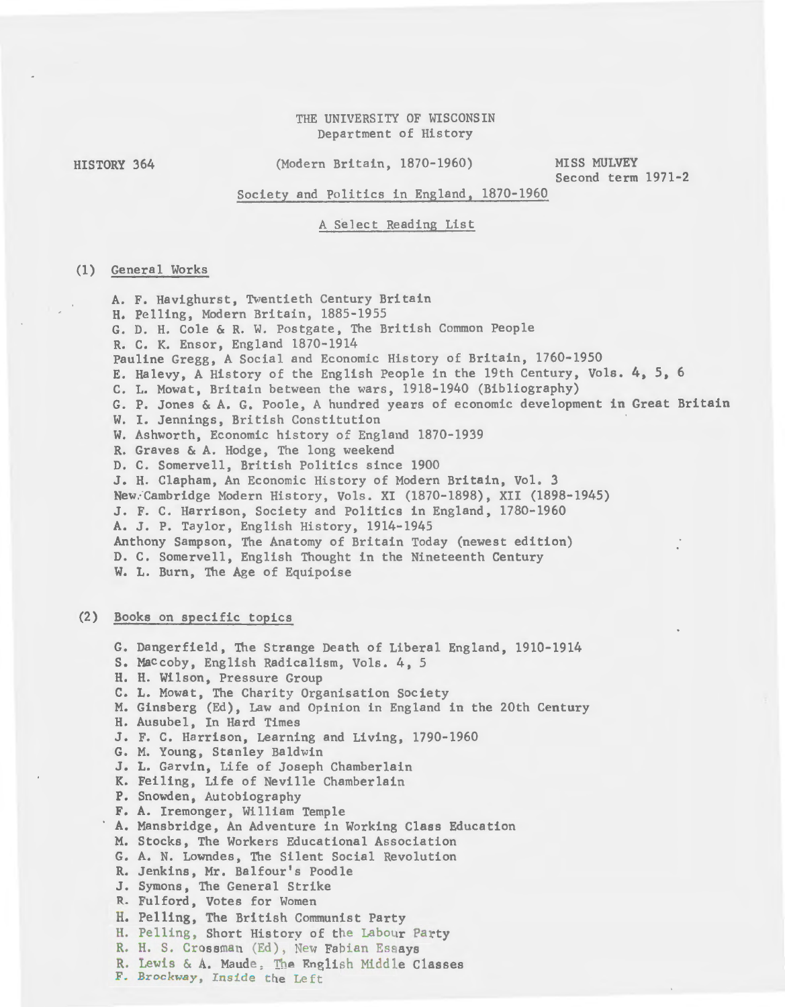# THE UNIVERSITY OF WISCONSIN Department of History

HISTORY 364

(Modern Britain, 1870-1960)

MISS MULVEY Second term 1971-2

Society and Politics in England, 1870-1960

A Select Reading List

### (1) General Works

A. F. Havighurst, Twentieth Century Britain H. Pelling, Modern Britain, 1885-1955 G. D. H. Cole & R. W. Postgate, The British Common People R. C. K. Ensor, England 1870-1914 Pauline Gregg, A Social and Economic History of Britain, 1760-1950 E. Halevy, A History of the English People in the 19th Century, Vols. 4, 5, 6 C. L. Mowat, Britain between the wars, 1918-1940 (Bibliography) G. P. Jones & A. G. Poole, A hundred years of economic development in Great Britain W. I. Jennings, British Constitution W. Ashworth, Economic history of England 1870-1939 R. Graves & A. Hodge, The long weekend D. C. Somervell, British Politics since 1900 J. H. Clapham, An Economic History of Modern Britain, Vol. 3 New.-Cambridge Modern History, Vols. XI (1870-1898), XII (1898-1945) J. F. C. Harrison, Society and Politics in England, 1780-1960 A. J. P. Taylor, English History, 1914-1945 Anthony Sampson, The Anatomy of Britain Today (newest edition) D. C. Somervell, English Thought in the Nineteenth Century

## W. L. Burn, The Age of Equipoise

#### (2) Books on specific topics

G. Dangerfield, The Strange Death of Liberal England, 1910-1914 S. Maccoby, English Radicalism, Vols. 4, 5 H. H. Wilson, Pressure Group C. L. Mowat, The Charity Organisation Society M. Ginsberg (Ed), Law and Opinion in England in the 20th Century H. Ausubel, In Hard Times J. F. C. Harrison, Learning and Living, 1790-1960 G. M. Young, Stanley Baldwin J. L. Garvin, Life of Joseph Chamberlain K. Feiling, Life of Neville Chamberlain P. Snowden, Autobiography F. A. Iremonger, William Temple A. Mansbridge, An Adventure in Working Class Education M. Stocks, The Workers Educational Association G. A. N. Lowndes, The Silent Social Revolution R. Jenkins, Mr. Balfour's Poodle J. Symons, The General Strike R. Fulford, Votes for Women H. Pelling, The British Communist Party H. Pelling, Short History of the Labour Party R. H. S. Crossman (Ed), New Fabian Essays R. Lewis & A. Maude, The English Middle Classes F. Brockway, Inside the Left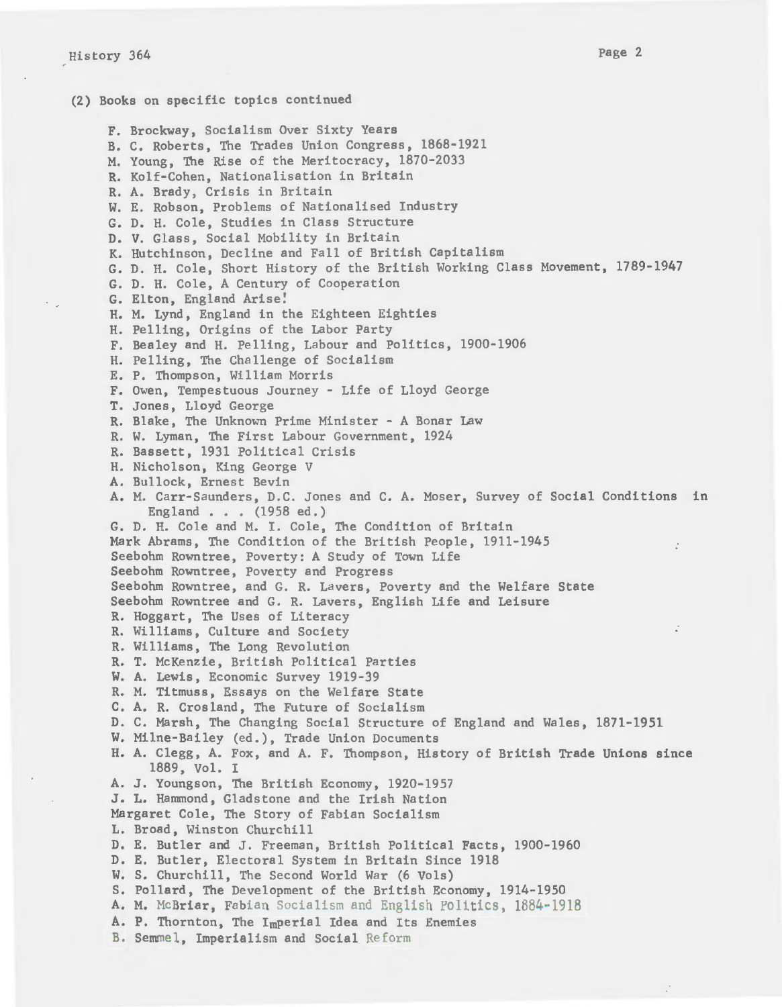(2) Books on specific topics continued F. Brockway, Socialism Over Sixty Years B. C. Roberts, The Trades Union Congress, 1868-1921 M. Young, The Rise of the Meritocracy, 1870-2033 R. Kolf-Cohen, Nationalisation in Britain R. A. Brady, Crisis in Britain W. E. Robson, Problems of Nationalised Industry G. D. H. Cole, Studies in Class Structure D. V. Glass, Social Mobility in Britain K. Hutchinson, Decline and Fall of British Capitalism G. D. H. Cole, Short History of the British Working Class Movement, 1789-1947 G. D. H. Cole, A Century of Cooperation G. Elton, England Arise! H. M. Lynd, England in the Eighteen Eighties H. Pelling, Origins of the Labor Party F. Bealey and H. Pelling, Labour and Politics, 1900-1906 H. Pelling, The Challenge of Socialism E. P. Thompson, William Morris F. Owen, Tempestuous Journey - Life of Lloyd George T. Jones, Lloyd George R. Blake, The Unknown Prime Minister - A Bonar Law R. W. Lyman, The First Labour Government, 1924 R. Bassett, 1931 Political Crisis H. Nicholson, King George V A. Bullock, Ernest Bevin A. M. Carr-Saunders, D.C. Jones and c. A. Moser, Survey of Social Conditions in England . . . (1958 ed.) G. D. H. Cole and M. I. Cole, The Condition of Britain Mark Abrams, The Condition of the British People, 1911-1945 Seebohm Rowntree, Poverty: A Study of Town Life Seebohm Rowntree, Poverty and Progress Seebohm Rowntree, and G. R. Lavers, Poverty and the Welfare State Seebohm Rowntree and G. R. Lavers, English Life and Leisure R. Haggart, The Uses of Literacy R. Williams, Culture and Society R. Williams, The Long Revolution R. T. McKenzie, British Political Parties W. A. Lewis, Economic Survey 1919-39 R. M. Titmuss, Essays on the Welfare State C. A. R. Crosland, The Future of Socialism D. C. Marsh, The Changing Social Structure of England and Wales, 1871-1951 W. Milne-Bailey (ed.), Trade Union Documents H. A. Clegg, A. Fox, and A. F. Thompson, History of British Trade Unions since 1889, Vol. I A. J. Youngson, The British Economy, 1920-1957 J. L. Hammond, Gladstone and the Irish Nation Margaret Cole, The Story of Fabian Socialism L. Broad, Winston Churchill D. E. Butler and J. Freeman, British Political Facts, 1900-1960 D. E. Butler, Electoral System in Britain Since 1918 W. S. Churchill, The Second World War (6 Vols) S. Pollard, The Development of the British Economy, 1914-1950 A. M. McBriar, Fabian Socialism and English Politics, 1884·1918 A. P. Thornton, The Imperial Idea and Its Enemies B. Semmel, Imperialism and Social Reform